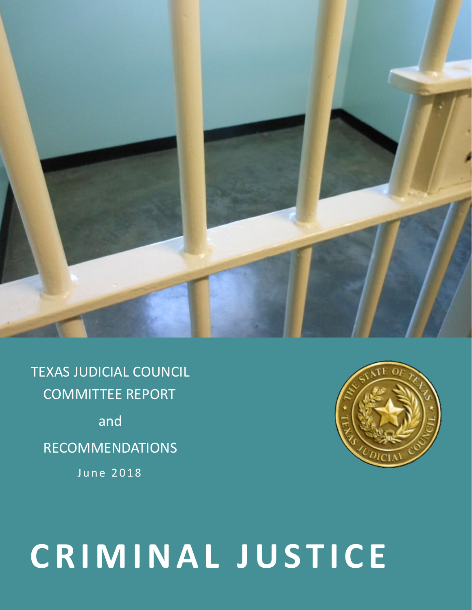

TEXAS JUDICIAL COUNCIL COMMITTEE REPORT and RECOMMENDATIONS June 2018



# **C R I M I N A L J U S T I C E**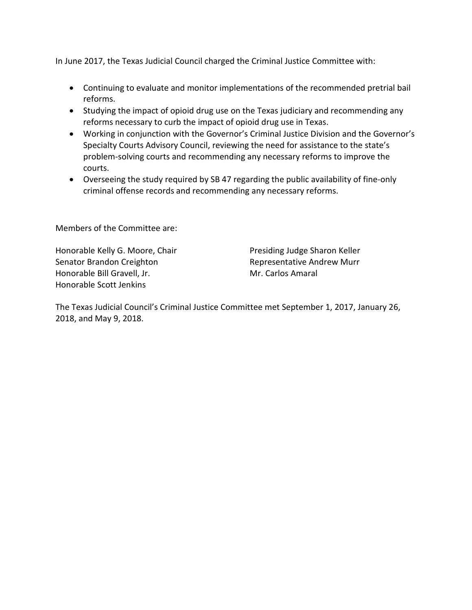In June 2017, the Texas Judicial Council charged the Criminal Justice Committee with:

- Continuing to evaluate and monitor implementations of the recommended pretrial bail reforms.
- Studying the impact of opioid drug use on the Texas judiciary and recommending any reforms necessary to curb the impact of opioid drug use in Texas.
- Working in conjunction with the Governor's Criminal Justice Division and the Governor's Specialty Courts Advisory Council, reviewing the need for assistance to the state's problem-solving courts and recommending any necessary reforms to improve the courts.
- Overseeing the study required by SB 47 regarding the public availability of fine-only criminal offense records and recommending any necessary reforms.

Members of the Committee are:

Honorable Kelly G. Moore, Chair Senator Brandon Creighton Honorable Bill Gravell, Jr. Honorable Scott Jenkins

Presiding Judge Sharon Keller Representative Andrew Murr Mr. Carlos Amaral

The Texas Judicial Council's Criminal Justice Committee met September 1, 2017, January 26, 2018, and May 9, 2018.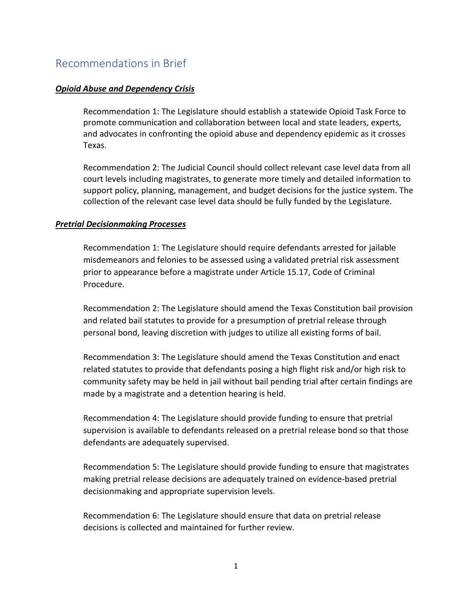# Recommendations in Brief

#### *Opioid Abuse and Dependency Crisis*

Recommendation 1: The Legislature should establish a statewide Opioid Task Force to promote communication and collaboration between local and state leaders, experts, and advocates in confronting the opioid abuse and dependency epidemic as it crosses Texas.

Recommendation 2: The Judicial Council should collect relevant case level data from all court levels including magistrates, to generate more timely and detailed information to support policy, planning, management, and budget decisions for the justice system. The collection of the relevant case level data should be fully funded by the Legislature.

#### *Pretrial Decisionmaking Processes*

Recommendation 1: The Legislature should require defendants arrested for jailable misdemeanors and felonies to be assessed using a validated pretrial risk assessment prior to appearance before a magistrate under Article 15.17, Code of Criminal Procedure.

Recommendation 2: The Legislature should amend the Texas Constitution bail provision and related bail statutes to provide for a presumption of pretrial release through personal bond, leaving discretion with judges to utilize all existing forms of bail.

Recommendation 3: The Legislature should amend the Texas Constitution and enact related statutes to provide that defendants posing a high flight risk and/or high risk to community safety may be held in jail without bail pending trial after certain findings are made by a magistrate and a detention hearing is held.

Recommendation 4: The Legislature should provide funding to ensure that pretrial supervision is available to defendants released on a pretrial release bond so that those defendants are adequately supervised.

Recommendation 5: The Legislature should provide funding to ensure that magistrates making pretrial release decisions are adequately trained on evidence-based pretrial decisionmaking and appropriate supervision levels.

Recommendation 6: The Legislature should ensure that data on pretrial release decisions is collected and maintained for further review.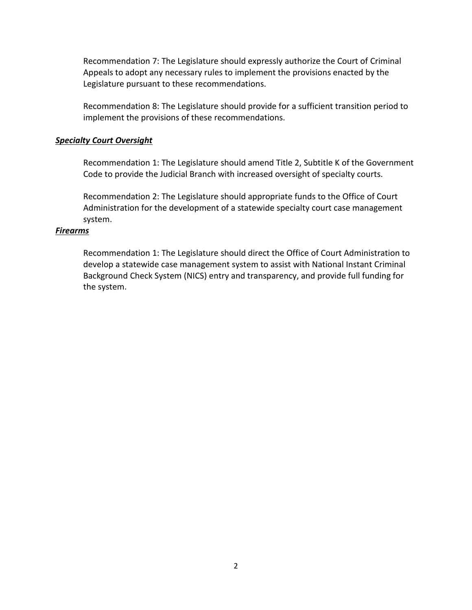Recommendation 7: The Legislature should expressly authorize the Court of Criminal Appeals to adopt any necessary rules to implement the provisions enacted by the Legislature pursuant to these recommendations.

Recommendation 8: The Legislature should provide for a sufficient transition period to implement the provisions of these recommendations.

#### *Specialty Court Oversight*

Recommendation 1: The Legislature should amend Title 2, Subtitle K of the Government Code to provide the Judicial Branch with increased oversight of specialty courts.

Recommendation 2: The Legislature should appropriate funds to the Office of Court Administration for the development of a statewide specialty court case management system.

#### *Firearms*

Recommendation 1: The Legislature should direct the Office of Court Administration to develop a statewide case management system to assist with National Instant Criminal Background Check System (NICS) entry and transparency, and provide full funding for the system.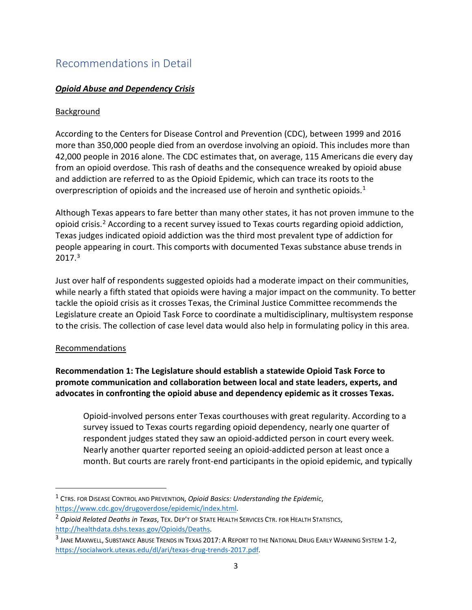# Recommendations in Detail

# *Opioid Abuse and Dependency Crisis*

## Background

According to the Centers for Disease Control and Prevention (CDC), between 1999 and 2016 more than 350,000 people died from an overdose involving an opioid. This includes more than 42,000 people in 2016 alone. The CDC estimates that, on average, 115 Americans die every day from an opioid overdose. This rash of deaths and the consequence wreaked by opioid abuse and addiction are referred to as the Opioid Epidemic, which can trace its roots to the overprescription of opioids and the increased use of heroin and synthetic opioids.<sup>[1](#page-4-0)</sup>

Although Texas appears to fare better than many other states, it has not proven immune to the opioid crisis.[2](#page-4-1) According to a recent survey issued to Texas courts regarding opioid addiction, Texas judges indicated opioid addiction was the third most prevalent type of addiction for people appearing in court. This comports with documented Texas substance abuse trends in  $2017.<sup>3</sup>$  $2017.<sup>3</sup>$  $2017.<sup>3</sup>$ 

Just over half of respondents suggested opioids had a moderate impact on their communities, while nearly a fifth stated that opioids were having a major impact on the community. To better tackle the opioid crisis as it crosses Texas, the Criminal Justice Committee recommends the Legislature create an Opioid Task Force to coordinate a multidisciplinary, multisystem response to the crisis. The collection of case level data would also help in formulating policy in this area.

## Recommendations

 $\overline{a}$ 

**Recommendation 1: The Legislature should establish a statewide Opioid Task Force to promote communication and collaboration between local and state leaders, experts, and advocates in confronting the opioid abuse and dependency epidemic as it crosses Texas.**

Opioid-involved persons enter Texas courthouses with great regularity. According to a survey issued to Texas courts regarding opioid dependency, nearly one quarter of respondent judges stated they saw an opioid-addicted person in court every week. Nearly another quarter reported seeing an opioid-addicted person at least once a month. But courts are rarely front-end participants in the opioid epidemic, and typically

<span id="page-4-0"></span><sup>1</sup> CTRS. FOR DISEASE CONTROL AND PREVENTION, *Opioid Basics: Understanding the Epidemic*, [https://www.cdc.gov/drugoverdose/epidemic/index.html.](https://www.cdc.gov/drugoverdose/epidemic/index.html)

<span id="page-4-1"></span><sup>2</sup> *Opioid Related Deaths in Texas*, TEX. DEP'T OF STATE HEALTH SERVICES CTR. FOR HEALTH STATISTICS, [http://healthdata.dshs.texas.gov/Opioids/Deaths.](http://healthdata.dshs.texas.gov/Opioids/Deaths)

<span id="page-4-2"></span><sup>&</sup>lt;sup>3</sup> JANE MAXWELL, SUBSTANCE ABUSE TRENDS IN TEXAS 2017: A REPORT TO THE NATIONAL DRUG EARLY WARNING SYSTEM 1-2, [https://socialwork.utexas.edu/dl/ari/texas-drug-trends-2017.pdf.](https://socialwork.utexas.edu/dl/ari/texas-drug-trends-2017.pdf)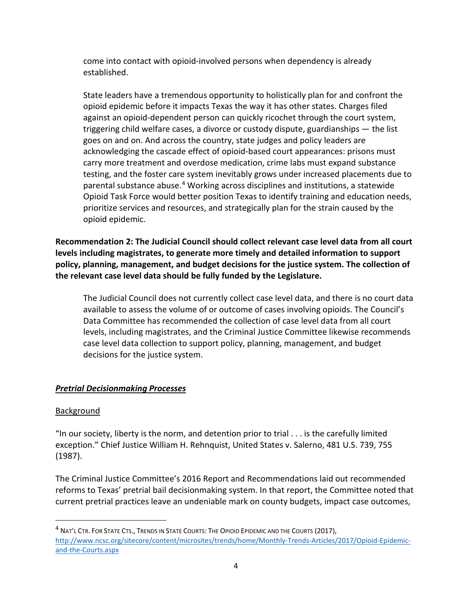come into contact with opioid-involved persons when dependency is already established.

State leaders have a tremendous opportunity to holistically plan for and confront the opioid epidemic before it impacts Texas the way it has other states. Charges filed against an opioid-dependent person can quickly ricochet through the court system, triggering child welfare cases, a divorce or custody dispute, guardianships — the list goes on and on. And across the country, state judges and policy leaders are acknowledging the cascade effect of opioid-based court appearances: prisons must carry more treatment and overdose medication, crime labs must expand substance testing, and the foster care system inevitably grows under increased placements due to parental substance abuse.[4](#page-5-0) Working across disciplines and institutions, a statewide Opioid Task Force would better position Texas to identify training and education needs, prioritize services and resources, and strategically plan for the strain caused by the opioid epidemic.

**Recommendation 2: The Judicial Council should collect relevant case level data from all court levels including magistrates, to generate more timely and detailed information to support policy, planning, management, and budget decisions for the justice system. The collection of the relevant case level data should be fully funded by the Legislature.**

The Judicial Council does not currently collect case level data, and there is no court data available to assess the volume of or outcome of cases involving opioids. The Council's Data Committee has recommended the collection of case level data from all court levels, including magistrates, and the Criminal Justice Committee likewise recommends case level data collection to support policy, planning, management, and budget decisions for the justice system.

## *Pretrial Decisionmaking Processes*

## Background

 $\overline{a}$ 

"In our society, liberty is the norm, and detention prior to trial  $\dots$  is the carefully limited exception." Chief Justice William H. Rehnquist, United States v. Salerno, 481 U.S. 739, 755 (1987).

The Criminal Justice Committee's 2016 Report and Recommendations laid out recommended reforms to Texas' pretrial bail decisionmaking system. In that report, the Committee noted that current pretrial practices leave an undeniable mark on county budgets, impact case outcomes,

<span id="page-5-0"></span><sup>4</sup> NAT'L CTR. FOR STATE CTS., TRENDS IN STATE COURTS: THE OPIOID EPIDEMIC AND THE COURTS (2017), [http://www.ncsc.org/sitecore/content/microsites/trends/home/Monthly-Trends-Articles/2017/Opioid-Epidemic](http://www.ncsc.org/sitecore/content/microsites/trends/home/Monthly-Trends-Articles/2017/Opioid-Epidemic-and-the-Courts.aspx)[and-the-Courts.aspx](http://www.ncsc.org/sitecore/content/microsites/trends/home/Monthly-Trends-Articles/2017/Opioid-Epidemic-and-the-Courts.aspx)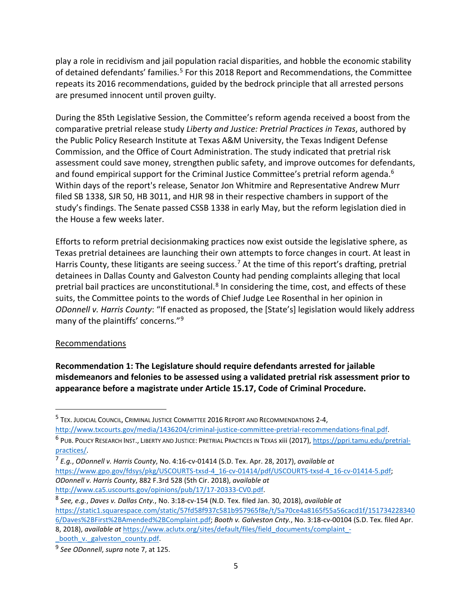play a role in recidivism and jail population racial disparities, and hobble the economic stability of detained defendants' families.<sup>[5](#page-6-0)</sup> For this 2018 Report and Recommendations, the Committee repeats its 2016 recommendations, guided by the bedrock principle that all arrested persons are presumed innocent until proven guilty.

During the 85th Legislative Session, the Committee's reform agenda received a boost from the comparative pretrial release study *Liberty and Justice: Pretrial Practices in Texas*, authored by the Public Policy Research Institute at Texas A&M University, the Texas Indigent Defense Commission, and the Office of Court Administration. The study indicated that pretrial risk assessment could save money, strengthen public safety, and improve outcomes for defendants, and found empirical support for the Criminal Justice Committee's pretrial reform agenda.<sup>6</sup> Within days of the report's release, Senator Jon Whitmire and Representative Andrew Murr filed SB 1338, SJR 50, HB 3011, and HJR 98 in their respective chambers in support of the study's findings. The Senate passed CSSB 1338 in early May, but the reform legislation died in the House a few weeks later.

Efforts to reform pretrial decisionmaking practices now exist outside the legislative sphere, as Texas pretrial detainees are launching their own attempts to force changes in court. At least in Harris County, these litigants are seeing success.<sup>[7](#page-6-2)</sup> At the time of this report's drafting, pretrial detainees in Dallas County and Galveston County had pending complaints alleging that local pretrial bail practices are unconstitutional.<sup>[8](#page-6-3)</sup> In considering the time, cost, and effects of these suits, the Committee points to the words of Chief Judge Lee Rosenthal in her opinion in *ODonnell v. Harris County*: "If enacted as proposed, the [State's] legislation would likely address many of the plaintiffs' concerns."<sup>[9](#page-6-4)</sup>

#### Recommendations

 $\overline{a}$ 

**Recommendation 1: The Legislature should require defendants arrested for jailable misdemeanors and felonies to be assessed using a validated pretrial risk assessment prior to appearance before a magistrate under Article 15.17, Code of Criminal Procedure.** 

<span id="page-6-0"></span><sup>5</sup> TEX. JUDICIAL COUNCIL, CRIMINAL JUSTICE COMMITTEE 2016 REPORT AND RECOMMENDATIONS 2-4,

[http://www.txcourts.gov/media/1436204/criminal-justice-committee-pretrial-recommendations-final.pdf.](http://www.txcourts.gov/media/1436204/criminal-justice-committee-pretrial-recommendations-final.pdf)

<span id="page-6-1"></span><sup>&</sup>lt;sup>6</sup> PUB. POLICY RESEARCH INST., LIBERTY AND JUSTICE: PRETRIAL PRACTICES IN TEXAS xiii (2017), https://ppri.tamu.edu/pretrialpractices/.

<span id="page-6-2"></span><sup>7</sup> *E.g.*, *ODonnell v. Harris County*, No. 4:16-cv-01414 (S.D. Tex. Apr. 28, 2017), *available at* [https://www.gpo.gov/fdsys/pkg/USCOURTS-txsd-4\\_16-cv-01414/pdf/USCOURTS-txsd-4\\_16-cv-01414-5.pdf;](https://www.gpo.gov/fdsys/pkg/USCOURTS-txsd-4_16-cv-01414/pdf/USCOURTS-txsd-4_16-cv-01414-5.pdf) *ODonnell v. Harris County*, 882 F.3rd 528 (5th Cir. 2018), *available at* [http://www.ca5.uscourts.gov/opinions/pub/17/17-20333-CV0.pdf.](http://www.ca5.uscourts.gov/opinions/pub/17/17-20333-CV0.pdf)

<span id="page-6-3"></span><sup>8</sup> *See, e.g.*, *Daves v. Dallas Cnty.*, No. 3:18-cv-154 (N.D. Tex. filed Jan. 30, 2018), *available at* [https://static1.squarespace.com/static/57fd58f937c581b957965f8e/t/5a70ce4a8165f55a56cacd1f/151734228340](https://static1.squarespace.com/static/57fd58f937c581b957965f8e/t/5a70ce4a8165f55a56cacd1f/1517342283406/Daves%2BFirst%2BAmended%2BComplaint.pdf) [6/Daves%2BFirst%2BAmended%2BComplaint.pdf;](https://static1.squarespace.com/static/57fd58f937c581b957965f8e/t/5a70ce4a8165f55a56cacd1f/1517342283406/Daves%2BFirst%2BAmended%2BComplaint.pdf) *Booth v. Galveston Cnty.*, No. 3:18-cv-00104 (S.D. Tex. filed Apr. 8, 2018), *available at* [https://www.aclutx.org/sites/default/files/field\\_documents/complaint\\_-](https://www.aclutx.org/sites/default/files/field_documents/complaint_-_booth_v._galveston_county.pdf)

<span id="page-6-4"></span>booth v. galveston county.pdf. <sup>9</sup> *See ODonnell*, *supra* note 7, at 125.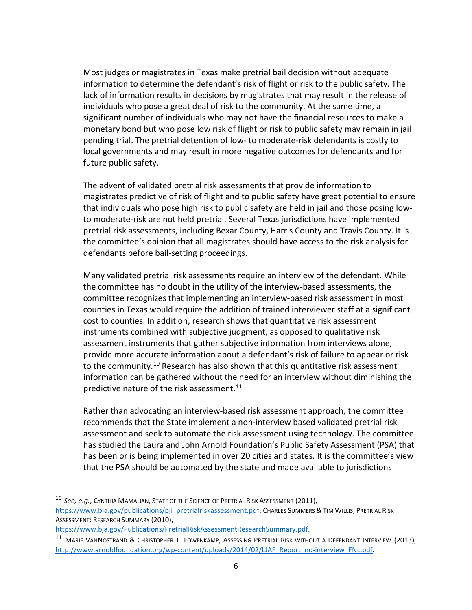Most judges or magistrates in Texas make pretrial bail decision without adequate information to determine the defendant's risk of flight or risk to the public safety. The lack of information results in decisions by magistrates that may result in the release of individuals who pose a great deal of risk to the community. At the same time, a significant number of individuals who may not have the financial resources to make a monetary bond but who pose low risk of flight or risk to public safety may remain in jail pending trial. The pretrial detention of low- to moderate-risk defendants is costly to local governments and may result in more negative outcomes for defendants and for future public safety.

The advent of validated pretrial risk assessments that provide information to magistrates predictive of risk of flight and to public safety have great potential to ensure that individuals who pose high risk to public safety are held in jail and those posing lowto moderate-risk are not held pretrial. Several Texas jurisdictions have implemented pretrial risk assessments, including Bexar County, Harris County and Travis County. It is the committee's opinion that all magistrates should have access to the risk analysis for defendants before bail-setting proceedings.

Many validated pretrial risk assessments require an interview of the defendant. While the committee has no doubt in the utility of the interview-based assessments, the committee recognizes that implementing an interview-based risk assessment in most counties in Texas would require the addition of trained interviewer staff at a significant cost to counties. In addition, research shows that quantitative risk assessment instruments combined with subjective judgment, as opposed to qualitative risk assessment instruments that gather subjective information from interviews alone, provide more accurate information about a defendant's risk of failure to appear or risk to the community.<sup>[10](#page-7-0)</sup> Research has also shown that this quantitative risk assessment information can be gathered without the need for an interview without diminishing the predictive nature of the risk assessment.<sup>[11](#page-7-1)</sup>

Rather than advocating an interview-based risk assessment approach, the committee recommends that the State implement a non-interview based validated pretrial risk assessment and seek to automate the risk assessment using technology. The committee has studied the Laura and John Arnold Foundation's Public Safety Assessment (PSA) that has been or is being implemented in over 20 cities and states. It is the committee's view that the PSA should be automated by the state and made available to jurisdictions

[https://www.bja.gov/Publications/PretrialRiskAssessmentResearchSummary.pdf.](https://www.bja.gov/Publications/PretrialRiskAssessmentResearchSummary.pdf)

 $\overline{a}$ 

<span id="page-7-0"></span><sup>10</sup> *See, e.g.*, CYNTHIA MAMALIAN, STATE OF THE SCIENCE OF PRETRIAL RISK ASSESSMENT (2011), [https://www.bja.gov/publications/pji\\_pretrialriskassessment.pdf;](https://www.bja.gov/publications/pji_pretrialriskassessment.pdf) CHARLES SUMMERS & TIM WILLIS, PRETRIAL RISK ASSESSMENT: RESEARCH SUMMARY (2010),

<span id="page-7-1"></span><sup>11</sup> MARIE VANNOSTRAND & CHRISTOPHER T. LOWENKAMP, ASSESSING PRETRIAL RISK WITHOUT A DEFENDANT INTERVIEW (2013), [http://www.arnoldfoundation.org/wp-content/uploads/2014/02/LJAF\\_Report\\_no-interview\\_FNL.pdf.](http://www.arnoldfoundation.org/wp-content/uploads/2014/02/LJAF_Report_no-interview_FNL.pdf)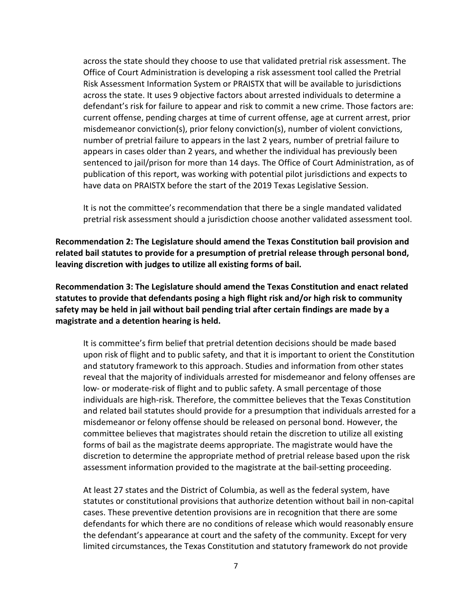across the state should they choose to use that validated pretrial risk assessment. The Office of Court Administration is developing a risk assessment tool called the Pretrial Risk Assessment Information System or PRAISTX that will be available to jurisdictions across the state. It uses 9 objective factors about arrested individuals to determine a defendant's risk for failure to appear and risk to commit a new crime. Those factors are: current offense, pending charges at time of current offense, age at current arrest, prior misdemeanor conviction(s), prior felony conviction(s), number of violent convictions, number of pretrial failure to appears in the last 2 years, number of pretrial failure to appears in cases older than 2 years, and whether the individual has previously been sentenced to jail/prison for more than 14 days. The Office of Court Administration, as of publication of this report, was working with potential pilot jurisdictions and expects to have data on PRAISTX before the start of the 2019 Texas Legislative Session.

It is not the committee's recommendation that there be a single mandated validated pretrial risk assessment should a jurisdiction choose another validated assessment tool.

**Recommendation 2: The Legislature should amend the Texas Constitution bail provision and related bail statutes to provide for a presumption of pretrial release through personal bond, leaving discretion with judges to utilize all existing forms of bail.** 

**Recommendation 3: The Legislature should amend the Texas Constitution and enact related statutes to provide that defendants posing a high flight risk and/or high risk to community safety may be held in jail without bail pending trial after certain findings are made by a magistrate and a detention hearing is held.** 

It is committee's firm belief that pretrial detention decisions should be made based upon risk of flight and to public safety, and that it is important to orient the Constitution and statutory framework to this approach. Studies and information from other states reveal that the majority of individuals arrested for misdemeanor and felony offenses are low- or moderate-risk of flight and to public safety. A small percentage of those individuals are high-risk. Therefore, the committee believes that the Texas Constitution and related bail statutes should provide for a presumption that individuals arrested for a misdemeanor or felony offense should be released on personal bond. However, the committee believes that magistrates should retain the discretion to utilize all existing forms of bail as the magistrate deems appropriate. The magistrate would have the discretion to determine the appropriate method of pretrial release based upon the risk assessment information provided to the magistrate at the bail-setting proceeding.

At least 27 states and the District of Columbia, as well as the federal system, have statutes or constitutional provisions that authorize detention without bail in non-capital cases. These preventive detention provisions are in recognition that there are some defendants for which there are no conditions of release which would reasonably ensure the defendant's appearance at court and the safety of the community. Except for very limited circumstances, the Texas Constitution and statutory framework do not provide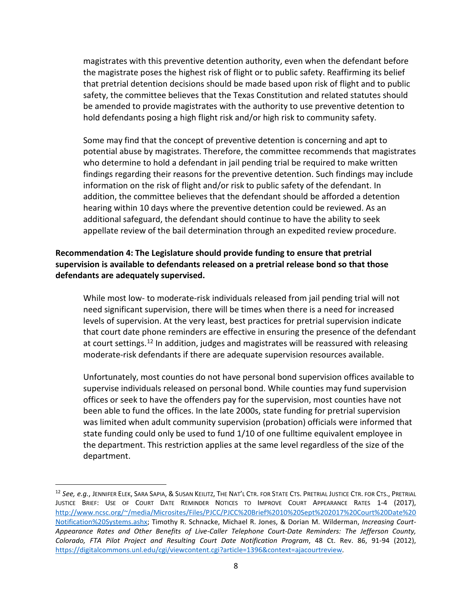magistrates with this preventive detention authority, even when the defendant before the magistrate poses the highest risk of flight or to public safety. Reaffirming its belief that pretrial detention decisions should be made based upon risk of flight and to public safety, the committee believes that the Texas Constitution and related statutes should be amended to provide magistrates with the authority to use preventive detention to hold defendants posing a high flight risk and/or high risk to community safety.

Some may find that the concept of preventive detention is concerning and apt to potential abuse by magistrates. Therefore, the committee recommends that magistrates who determine to hold a defendant in jail pending trial be required to make written findings regarding their reasons for the preventive detention. Such findings may include information on the risk of flight and/or risk to public safety of the defendant. In addition, the committee believes that the defendant should be afforded a detention hearing within 10 days where the preventive detention could be reviewed. As an additional safeguard, the defendant should continue to have the ability to seek appellate review of the bail determination through an expedited review procedure.

## **Recommendation 4: The Legislature should provide funding to ensure that pretrial supervision is available to defendants released on a pretrial release bond so that those defendants are adequately supervised.**

While most low- to moderate-risk individuals released from jail pending trial will not need significant supervision, there will be times when there is a need for increased levels of supervision. At the very least, best practices for pretrial supervision indicate that court date phone reminders are effective in ensuring the presence of the defendant at court settings.<sup>[12](#page-9-0)</sup> In addition, judges and magistrates will be reassured with releasing moderate-risk defendants if there are adequate supervision resources available.

Unfortunately, most counties do not have personal bond supervision offices available to supervise individuals released on personal bond. While counties may fund supervision offices or seek to have the offenders pay for the supervision, most counties have not been able to fund the offices. In the late 2000s, state funding for pretrial supervision was limited when adult community supervision (probation) officials were informed that state funding could only be used to fund 1/10 of one fulltime equivalent employee in the department. This restriction applies at the same level regardless of the size of the department.

 $\overline{a}$ 

<span id="page-9-0"></span><sup>12</sup> *See, e.g.*, JENNIFER ELEK, SARA SAPIA, & SUSAN KEILITZ, THE NAT'L CTR. FOR STATE CTS. PRETRIAL JUSTICE CTR. FOR CTS., PRETRIAL JUSTICE BRIEF: USE OF COURT DATE REMINDER NOTICES TO IMPROVE COURT APPEARANCE RATES 1-4 (2017), [http://www.ncsc.org/~/media/Microsites/Files/PJCC/PJCC%20Brief%2010%20Sept%202017%20Court%20Date%20](http://www.ncsc.org/%7E/media/Microsites/Files/PJCC/PJCC%20Brief%2010%20Sept%202017%20Court%20Date%20Notification%20Systems.ashx) [Notification%20Systems.ashx;](http://www.ncsc.org/%7E/media/Microsites/Files/PJCC/PJCC%20Brief%2010%20Sept%202017%20Court%20Date%20Notification%20Systems.ashx) Timothy R. Schnacke, Michael R. Jones, & Dorian M. Wilderman, *Increasing Court-Appearance Rates and Other Benefits of Live-Caller Telephone Court-Date Reminders: The Jefferson County, Colorado, FTA Pilot Project and Resulting Court Date Notification Program*, 48 Ct. Rev. 86, 91-94 (2012), [https://digitalcommons.unl.edu/cgi/viewcontent.cgi?article=1396&context=ajacourtreview.](https://digitalcommons.unl.edu/cgi/viewcontent.cgi?article=1396&context=ajacourtreview)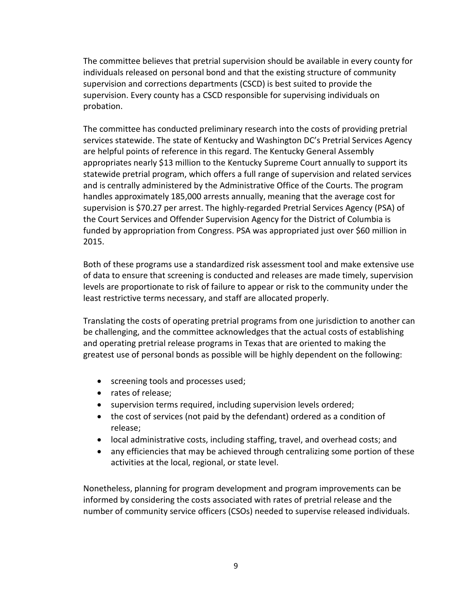The committee believes that pretrial supervision should be available in every county for individuals released on personal bond and that the existing structure of community supervision and corrections departments (CSCD) is best suited to provide the supervision. Every county has a CSCD responsible for supervising individuals on probation.

The committee has conducted preliminary research into the costs of providing pretrial services statewide. The state of Kentucky and Washington DC's Pretrial Services Agency are helpful points of reference in this regard. The Kentucky General Assembly appropriates nearly \$13 million to the Kentucky Supreme Court annually to support its statewide pretrial program, which offers a full range of supervision and related services and is centrally administered by the Administrative Office of the Courts. The program handles approximately 185,000 arrests annually, meaning that the average cost for supervision is \$70.27 per arrest. The highly-regarded Pretrial Services Agency (PSA) of the Court Services and Offender Supervision Agency for the District of Columbia is funded by appropriation from Congress. PSA was appropriated just over \$60 million in 2015.

Both of these programs use a standardized risk assessment tool and make extensive use of data to ensure that screening is conducted and releases are made timely, supervision levels are proportionate to risk of failure to appear or risk to the community under the least restrictive terms necessary, and staff are allocated properly.

Translating the costs of operating pretrial programs from one jurisdiction to another can be challenging, and the committee acknowledges that the actual costs of establishing and operating pretrial release programs in Texas that are oriented to making the greatest use of personal bonds as possible will be highly dependent on the following:

- screening tools and processes used;
- rates of release;
- supervision terms required, including supervision levels ordered;
- the cost of services (not paid by the defendant) ordered as a condition of release;
- local administrative costs, including staffing, travel, and overhead costs; and
- any efficiencies that may be achieved through centralizing some portion of these activities at the local, regional, or state level.

Nonetheless, planning for program development and program improvements can be informed by considering the costs associated with rates of pretrial release and the number of community service officers (CSOs) needed to supervise released individuals.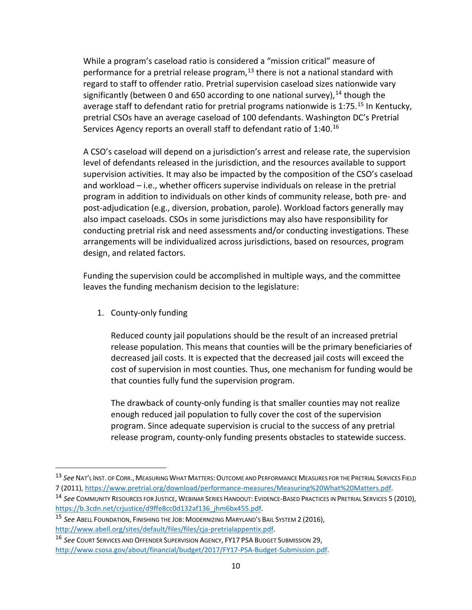While a program's caseload ratio is considered a "mission critical" measure of performance for a pretrial release program, $13$  there is not a national standard with regard to staff to offender ratio. Pretrial supervision caseload sizes nationwide vary significantly (between 0 and 650 according to one national survey),  $^{14}$  $^{14}$  $^{14}$  though the average staff to defendant ratio for pretrial programs nationwide is  $1:75$ .<sup>[15](#page-11-2)</sup> In Kentucky, pretrial CSOs have an average caseload of 100 defendants. Washington DC's Pretrial Services Agency reports an overall staff to defendant ratio of 1:40.<sup>[16](#page-11-3)</sup>

A CSO's caseload will depend on a jurisdiction's arrest and release rate, the supervision level of defendants released in the jurisdiction, and the resources available to support supervision activities. It may also be impacted by the composition of the CSO's caseload and workload – i.e., whether officers supervise individuals on release in the pretrial program in addition to individuals on other kinds of community release, both pre- and post-adjudication (e.g., diversion, probation, parole). Workload factors generally may also impact caseloads. CSOs in some jurisdictions may also have responsibility for conducting pretrial risk and need assessments and/or conducting investigations. These arrangements will be individualized across jurisdictions, based on resources, program design, and related factors.

Funding the supervision could be accomplished in multiple ways, and the committee leaves the funding mechanism decision to the legislature:

1. County-only funding

 $\overline{a}$ 

Reduced county jail populations should be the result of an increased pretrial release population. This means that counties will be the primary beneficiaries of decreased jail costs. It is expected that the decreased jail costs will exceed the cost of supervision in most counties. Thus, one mechanism for funding would be that counties fully fund the supervision program.

The drawback of county-only funding is that smaller counties may not realize enough reduced jail population to fully cover the cost of the supervision program. Since adequate supervision is crucial to the success of any pretrial release program, county-only funding presents obstacles to statewide success.

<span id="page-11-0"></span><sup>13</sup> See NAT'L INST. OF CORR., MEASURING WHAT MATTERS: OUTCOME AND PERFORMANCE MEASURES FOR THE PRETRIAL SERVICES FIELD 7 (2011)[, https://www.pretrial.org/download/performance-measures/Measuring%20What%20Matters.pdf.](https://www.pretrial.org/download/performance-measures/Measuring%20What%20Matters.pdf)

<span id="page-11-1"></span><sup>14</sup> *See* COMMUNITY RESOURCES FOR JUSTICE, WEBINAR SERIES HANDOUT: EVIDENCE-BASED PRACTICES IN PRETRIAL SERVICES 5 (2010), [https://b.3cdn.net/crjustice/d9ffe8cc0d132af136\\_jhm6bx455.pdf.](https://b.3cdn.net/crjustice/d9ffe8cc0d132af136_jhm6bx455.pdf)

<span id="page-11-2"></span><sup>15</sup> *See* ABELL FOUNDATION, FINISHING THE JOB: MODERNIZING MARYLAND'S BAIL SYSTEM 2 (2016), [http://www.abell.org/sites/default/files/files/cja-pretrialappentix.pdf.](http://www.abell.org/sites/default/files/files/cja-pretrialappentix.pdf)

<span id="page-11-3"></span><sup>16</sup> *See* COURT SERVICES AND OFFENDER SUPERVISION AGENCY, FY17 PSA BUDGET SUBMISSION 29, [http://www.csosa.gov/about/financial/budget/2017/FY17-PSA-Budget-Submission.pdf.](http://www.csosa.gov/about/financial/budget/2017/FY17-PSA-Budget-Submission.pdf)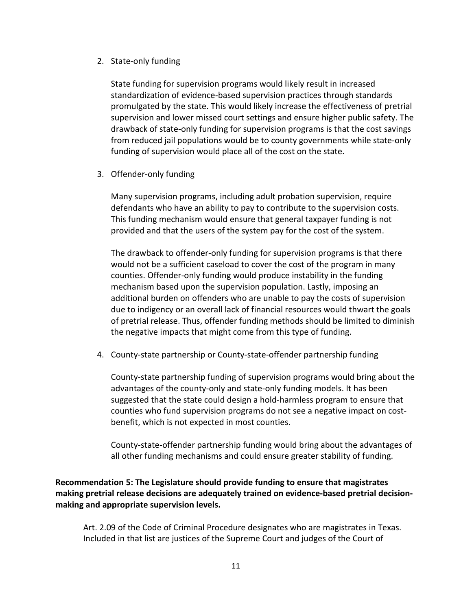2. State-only funding

State funding for supervision programs would likely result in increased standardization of evidence-based supervision practices through standards promulgated by the state. This would likely increase the effectiveness of pretrial supervision and lower missed court settings and ensure higher public safety. The drawback of state-only funding for supervision programs is that the cost savings from reduced jail populations would be to county governments while state-only funding of supervision would place all of the cost on the state.

3. Offender-only funding

Many supervision programs, including adult probation supervision, require defendants who have an ability to pay to contribute to the supervision costs. This funding mechanism would ensure that general taxpayer funding is not provided and that the users of the system pay for the cost of the system.

The drawback to offender-only funding for supervision programs is that there would not be a sufficient caseload to cover the cost of the program in many counties. Offender-only funding would produce instability in the funding mechanism based upon the supervision population. Lastly, imposing an additional burden on offenders who are unable to pay the costs of supervision due to indigency or an overall lack of financial resources would thwart the goals of pretrial release. Thus, offender funding methods should be limited to diminish the negative impacts that might come from this type of funding.

4. County-state partnership or County-state-offender partnership funding

County-state partnership funding of supervision programs would bring about the advantages of the county-only and state-only funding models. It has been suggested that the state could design a hold-harmless program to ensure that counties who fund supervision programs do not see a negative impact on costbenefit, which is not expected in most counties.

County-state-offender partnership funding would bring about the advantages of all other funding mechanisms and could ensure greater stability of funding.

**Recommendation 5: The Legislature should provide funding to ensure that magistrates making pretrial release decisions are adequately trained on evidence-based pretrial decisionmaking and appropriate supervision levels.** 

Art. 2.09 of the Code of Criminal Procedure designates who are magistrates in Texas. Included in that list are justices of the Supreme Court and judges of the Court of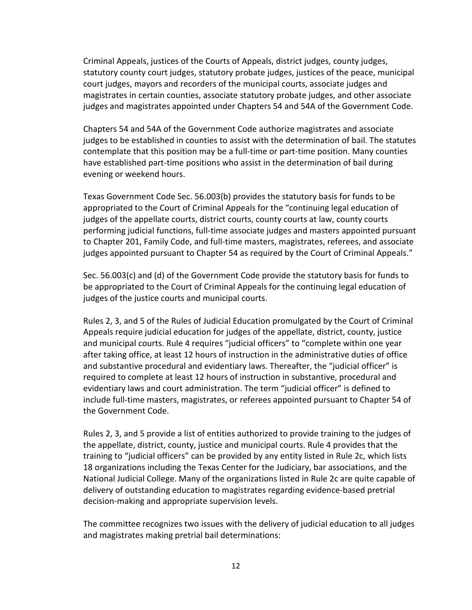Criminal Appeals, justices of the Courts of Appeals, district judges, county judges, statutory county court judges, statutory probate judges, justices of the peace, municipal court judges, mayors and recorders of the municipal courts, associate judges and magistrates in certain counties, associate statutory probate judges, and other associate judges and magistrates appointed under Chapters 54 and 54A of the Government Code.

Chapters 54 and 54A of the Government Code authorize magistrates and associate judges to be established in counties to assist with the determination of bail. The statutes contemplate that this position may be a full-time or part-time position. Many counties have established part-time positions who assist in the determination of bail during evening or weekend hours.

Texas Government Code Sec. 56.003(b) provides the statutory basis for funds to be appropriated to the Court of Criminal Appeals for the "continuing legal education of judges of the appellate courts, district courts, county courts at law, county courts performing judicial functions, full-time associate judges and masters appointed pursuant to Chapter 201, Family Code, and full-time masters, magistrates, referees, and associate judges appointed pursuant to Chapter 54 as required by the Court of Criminal Appeals."

Sec. 56.003(c) and (d) of the Government Code provide the statutory basis for funds to be appropriated to the Court of Criminal Appeals for the continuing legal education of judges of the justice courts and municipal courts.

Rules 2, 3, and 5 of the Rules of Judicial Education promulgated by the Court of Criminal Appeals require judicial education for judges of the appellate, district, county, justice and municipal courts. Rule 4 requires "judicial officers" to "complete within one year after taking office, at least 12 hours of instruction in the administrative duties of office and substantive procedural and evidentiary laws. Thereafter, the "judicial officer" is required to complete at least 12 hours of instruction in substantive, procedural and evidentiary laws and court administration. The term "judicial officer" is defined to include full-time masters, magistrates, or referees appointed pursuant to Chapter 54 of the Government Code.

Rules 2, 3, and 5 provide a list of entities authorized to provide training to the judges of the appellate, district, county, justice and municipal courts. Rule 4 provides that the training to "judicial officers" can be provided by any entity listed in Rule 2c, which lists 18 organizations including the Texas Center for the Judiciary, bar associations, and the National Judicial College. Many of the organizations listed in Rule 2c are quite capable of delivery of outstanding education to magistrates regarding evidence-based pretrial decision-making and appropriate supervision levels.

The committee recognizes two issues with the delivery of judicial education to all judges and magistrates making pretrial bail determinations: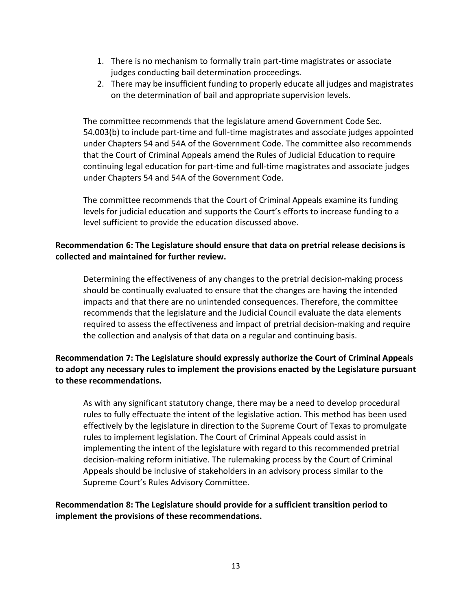- 1. There is no mechanism to formally train part-time magistrates or associate judges conducting bail determination proceedings.
- 2. There may be insufficient funding to properly educate all judges and magistrates on the determination of bail and appropriate supervision levels.

The committee recommends that the legislature amend Government Code Sec. 54.003(b) to include part-time and full-time magistrates and associate judges appointed under Chapters 54 and 54A of the Government Code. The committee also recommends that the Court of Criminal Appeals amend the Rules of Judicial Education to require continuing legal education for part-time and full-time magistrates and associate judges under Chapters 54 and 54A of the Government Code.

The committee recommends that the Court of Criminal Appeals examine its funding levels for judicial education and supports the Court's efforts to increase funding to a level sufficient to provide the education discussed above.

## **Recommendation 6: The Legislature should ensure that data on pretrial release decisions is collected and maintained for further review.**

Determining the effectiveness of any changes to the pretrial decision-making process should be continually evaluated to ensure that the changes are having the intended impacts and that there are no unintended consequences. Therefore, the committee recommends that the legislature and the Judicial Council evaluate the data elements required to assess the effectiveness and impact of pretrial decision-making and require the collection and analysis of that data on a regular and continuing basis.

# **Recommendation 7: The Legislature should expressly authorize the Court of Criminal Appeals to adopt any necessary rules to implement the provisions enacted by the Legislature pursuant to these recommendations.**

As with any significant statutory change, there may be a need to develop procedural rules to fully effectuate the intent of the legislative action. This method has been used effectively by the legislature in direction to the Supreme Court of Texas to promulgate rules to implement legislation. The Court of Criminal Appeals could assist in implementing the intent of the legislature with regard to this recommended pretrial decision-making reform initiative. The rulemaking process by the Court of Criminal Appeals should be inclusive of stakeholders in an advisory process similar to the Supreme Court's Rules Advisory Committee.

## **Recommendation 8: The Legislature should provide for a sufficient transition period to implement the provisions of these recommendations.**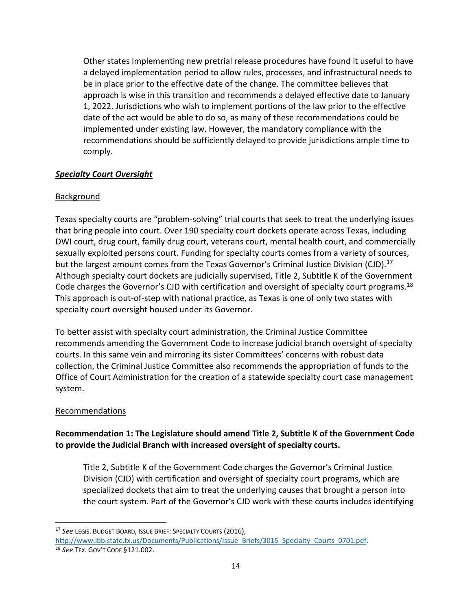Other states implementing new pretrial release procedures have found it useful to have a delayed implementation period to allow rules, processes, and infrastructural needs to be in place prior to the effective date of the change. The committee believes that approach is wise in this transition and recommends a delayed effective date to January 1, 2022. Jurisdictions who wish to implement portions of the law prior to the effective date of the act would be able to do so, as many of these recommendations could be implemented under existing law. However, the mandatory compliance with the recommendations should be sufficiently delayed to provide jurisdictions ample time to comply.

## *Specialty Court Oversight*

#### Background

Texas specialty courts are "problem-solving" trial courts that seek to treat the underlying issues that bring people into court. Over 190 specialty court dockets operate across Texas, including DWI court, drug court, family drug court, veterans court, mental health court, and commercially sexually exploited persons court. Funding for specialty courts comes from a variety of sources, but the largest amount comes from the Texas Governor's Criminal Justice Division (CJD).<sup>[17](#page-15-0)</sup> Although specialty court dockets are judicially supervised, Title 2, Subtitle K of the Government Code charges the Governor's CJD with certification and oversight of specialty court programs.<sup>[18](#page-15-1)</sup> This approach is out-of-step with national practice, as Texas is one of only two states with specialty court oversight housed under its Governor.

To better assist with specialty court administration, the Criminal Justice Committee recommends amending the Government Code to increase judicial branch oversight of specialty courts. In this same vein and mirroring its sister Committees' concerns with robust data collection, the Criminal Justice Committee also recommends the appropriation of funds to the Office of Court Administration for the creation of a statewide specialty court case management system.

#### Recommendations

# **Recommendation 1: The Legislature should amend Title 2, Subtitle K of the Government Code to provide the Judicial Branch with increased oversight of specialty courts.**

Title 2, Subtitle K of the Government Code charges the Governor's Criminal Justice Division (CJD) with certification and oversight of specialty court programs, which are specialized dockets that aim to treat the underlying causes that brought a person into the court system. Part of the Governor's CJD work with these courts includes identifying

 $\overline{a}$ 

<span id="page-15-0"></span><sup>17</sup> *See* LEGIS. BUDGET BOARD, ISSUE BRIEF: SPECIALTY COURTS (2016), [http://www.lbb.state.tx.us/Documents/Publications/Issue\\_Briefs/3015\\_Specialty\\_Courts\\_0701.pdf.](http://www.lbb.state.tx.us/Documents/Publications/Issue_Briefs/3015_Specialty_Courts_0701.pdf)

<span id="page-15-1"></span><sup>18</sup> *See* TEX. GOV'T CODE §121.002.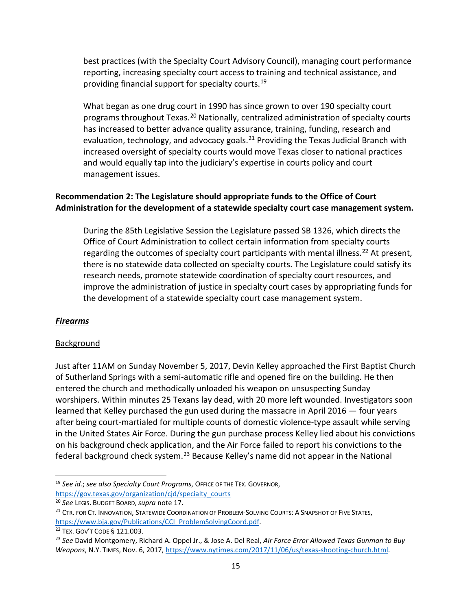best practices (with the Specialty Court Advisory Council), managing court performance reporting, increasing specialty court access to training and technical assistance, and providing financial support for specialty courts.<sup>[19](#page-16-0)</sup>

What began as one drug court in 1990 has since grown to over 190 specialty court programs throughout Texas.<sup>[20](#page-16-1)</sup> Nationally, centralized administration of specialty courts has increased to better advance quality assurance, training, funding, research and evaluation, technology, and advocacy goals. $^{21}$  $^{21}$  $^{21}$  Providing the Texas Judicial Branch with increased oversight of specialty courts would move Texas closer to national practices and would equally tap into the judiciary's expertise in courts policy and court management issues.

# **Recommendation 2: The Legislature should appropriate funds to the Office of Court Administration for the development of a statewide specialty court case management system.**

During the 85th Legislative Session the Legislature passed SB 1326, which directs the Office of Court Administration to collect certain information from specialty courts regarding the outcomes of specialty court participants with mental illness.<sup>[22](#page-16-3)</sup> At present, there is no statewide data collected on specialty courts. The Legislature could satisfy its research needs, promote statewide coordination of specialty court resources, and improve the administration of justice in specialty court cases by appropriating funds for the development of a statewide specialty court case management system.

## *Firearms*

 $\overline{a}$ 

## Background

Just after 11AM on Sunday November 5, 2017, Devin Kelley approached the First Baptist Church of Sutherland Springs with a semi-automatic rifle and opened fire on the building. He then entered the church and methodically unloaded his weapon on unsuspecting Sunday worshipers. Within minutes 25 Texans lay dead, with 20 more left wounded. Investigators soon learned that Kelley purchased the gun used during the massacre in April 2016 — four years after being court-martialed for multiple counts of domestic violence-type assault while serving in the United States Air Force. During the gun purchase process Kelley lied about his convictions on his background check application, and the Air Force failed to report his convictions to the federal background check system.[23](#page-16-4) Because Kelley's name did not appear in the National

<span id="page-16-0"></span><sup>19</sup> *See id.*; *see also Specialty Court Programs*, OFFICE OF THE TEX. GOVERNOR,

[https://gov.texas.gov/organization/cjd/specialty\\_courts](https://gov.texas.gov/organization/cjd/specialty_courts)

<span id="page-16-1"></span><sup>20</sup> *See* LEGIS. BUDGET BOARD,*supra* note 17.

<span id="page-16-2"></span><sup>&</sup>lt;sup>21</sup> CTR. FOR CT. INNOVATION, STATEWIDE COORDINATION OF PROBLEM-SOLVING COURTS: A SNAPSHOT OF FIVE STATES, [https://www.bja.gov/Publications/CCI\\_ProblemSolvingCoord.pdf.](https://www.bja.gov/Publications/CCI_ProblemSolvingCoord.pdf)

<span id="page-16-3"></span><sup>22</sup> TEX. GOV'T CODE § 121.003.

<span id="page-16-4"></span><sup>23</sup> *See* David Montgomery, Richard A. Oppel Jr., & Jose A. Del Real, *Air Force Error Allowed Texas Gunman to Buy Weapons*, N.Y. TIMES, Nov. 6, 2017, [https://www.nytimes.com/2017/11/06/us/texas-shooting-church.html.](https://www.nytimes.com/2017/11/06/us/texas-shooting-church.html)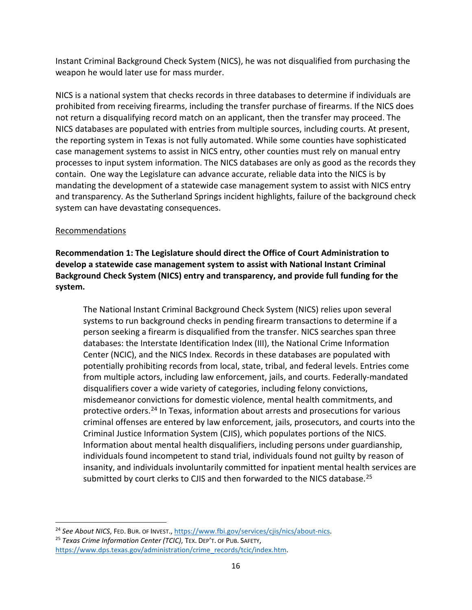Instant Criminal Background Check System (NICS), he was not disqualified from purchasing the weapon he would later use for mass murder.

NICS is a national system that checks records in three databases to determine if individuals are prohibited from receiving firearms, including the transfer purchase of firearms. If the NICS does not return a disqualifying record match on an applicant, then the transfer may proceed. The NICS databases are populated with entries from multiple sources, including courts. At present, the reporting system in Texas is not fully automated. While some counties have sophisticated case management systems to assist in NICS entry, other counties must rely on manual entry processes to input system information. The NICS databases are only as good as the records they contain. One way the Legislature can advance accurate, reliable data into the NICS is by mandating the development of a statewide case management system to assist with NICS entry and transparency. As the Sutherland Springs incident highlights, failure of the background check system can have devastating consequences.

## Recommendations

 $\overline{a}$ 

**Recommendation 1: The Legislature should direct the Office of Court Administration to develop a statewide case management system to assist with National Instant Criminal Background Check System (NICS) entry and transparency, and provide full funding for the system.**

The National Instant Criminal Background Check System (NICS) relies upon several systems to run background checks in pending firearm transactions to determine if a person seeking a firearm is disqualified from the transfer. NICS searches span three databases: the Interstate Identification Index (III), the National Crime Information Center (NCIC), and the NICS Index. Records in these databases are populated with potentially prohibiting records from local, state, tribal, and federal levels. Entries come from multiple actors, including law enforcement, jails, and courts. Federally-mandated disqualifiers cover a wide variety of categories, including felony convictions, misdemeanor convictions for domestic violence, mental health commitments, and protective orders. [24](#page-17-0) In Texas, information about arrests and prosecutions for various criminal offenses are entered by law enforcement, jails, prosecutors, and courts into the Criminal Justice Information System (CJIS), which populates portions of the NICS. Information about mental health disqualifiers, including persons under guardianship, individuals found incompetent to stand trial, individuals found not guilty by reason of insanity, and individuals involuntarily committed for inpatient mental health services are submitted by court clerks to CJIS and then forwarded to the NICS database.<sup>[25](#page-17-1)</sup>

<span id="page-17-1"></span><span id="page-17-0"></span><sup>&</sup>lt;sup>24</sup> See About NICS, FED. BUR. OF INVEST., [https://www.fbi.gov/services/cjis/nics/about-nics.](https://www.fbi.gov/services/cjis/nics/about-nics) <sup>25</sup> *Texas Crime Information Center (TCIC)*, TEX. DEP'T. OF PUB. SAFETY, [https://www.dps.texas.gov/administration/crime\\_records/tcic/index.htm.](https://www.dps.texas.gov/administration/crime_records/tcic/index.htm)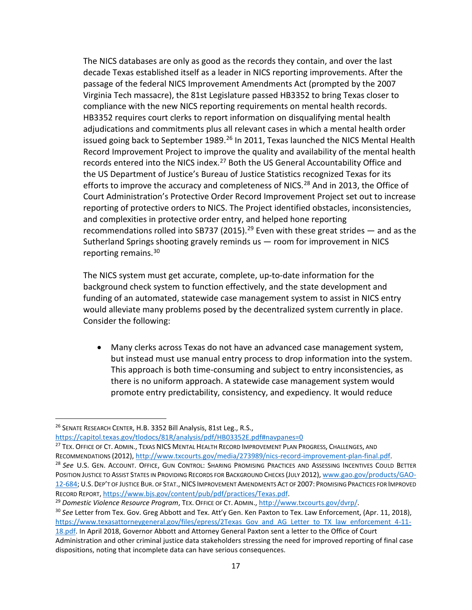The NICS databases are only as good as the records they contain, and over the last decade Texas established itself as a leader in NICS reporting improvements. After the passage of the federal NICS Improvement Amendments Act (prompted by the 2007 Virginia Tech massacre), the 81st Legislature passed HB3352 to bring Texas closer to compliance with the new NICS reporting requirements on mental health records. HB3352 requires court clerks to report information on disqualifying mental health adjudications and commitments plus all relevant cases in which a mental health order issued going back to September 1989.<sup>[26](#page-18-0)</sup> In 2011, Texas launched the NICS Mental Health Record Improvement Project to improve the quality and availability of the mental health records entered into the NICS index.<sup>[27](#page-18-1)</sup> Both the US General Accountability Office and the US Department of Justice's Bureau of Justice Statistics recognized Texas for its efforts to improve the accuracy and completeness of NICS.<sup>[28](#page-18-2)</sup> And in 2013, the Office of Court Administration's Protective Order Record Improvement Project set out to increase reporting of protective orders to NICS. The Project identified obstacles, inconsistencies, and complexities in protective order entry, and helped hone reporting recommendations rolled into SB737 (2015).<sup>[29](#page-18-3)</sup> Even with these great strides  $-$  and as the Sutherland Springs shooting gravely reminds us — room for improvement in NICS reporting remains. [30](#page-18-4)

The NICS system must get accurate, complete, up-to-date information for the background check system to function effectively, and the state development and funding of an automated, statewide case management system to assist in NICS entry would alleviate many problems posed by the decentralized system currently in place. Consider the following:

• Many clerks across Texas do not have an advanced case management system, but instead must use manual entry process to drop information into the system. This approach is both time-consuming and subject to entry inconsistencies, as there is no uniform approach. A statewide case management system would promote entry predictability, consistency, and expediency. It would reduce

 $\overline{a}$ 

<span id="page-18-4"></span><sup>30</sup> *See* Letter from Tex. Gov. Greg Abbott and Tex. Att'y Gen. Ken Paxton to Tex. Law Enforcement, (Apr. 11, 2018), [https://www.texasattorneygeneral.gov/files/epress/2Texas\\_Gov\\_and\\_AG\\_Letter\\_to\\_TX\\_law\\_enforcement\\_4-11-](https://www.texasattorneygeneral.gov/files/epress/2Texas_Gov_and_AG_Letter_to_TX_law_enforcement_4-11-18.pdf) [18.pdf.](https://www.texasattorneygeneral.gov/files/epress/2Texas_Gov_and_AG_Letter_to_TX_law_enforcement_4-11-18.pdf) In April 2018, Governor Abbott and Attorney General Paxton sent a letter to the Office of Court

<span id="page-18-0"></span><sup>&</sup>lt;sup>26</sup> SENATE RESEARCH CENTER, H.B. 3352 Bill Analysis, 81st Leg., R.S.,

<https://capitol.texas.gov/tlodocs/81R/analysis/pdf/HB03352E.pdf#navpanes=0>

<span id="page-18-1"></span><sup>&</sup>lt;sup>27</sup> TEX. OFFICE OF CT. ADMIN., TEXAS NICS MENTAL HEALTH RECORD IMPROVEMENT PLAN PROGRESS, CHALLENGES, AND

<span id="page-18-2"></span>RECOMMENDATIONS (2012), [http://www.txcourts.gov/media/273989/nics-record-improvement-plan-final.pdf.](http://www.txcourts.gov/media/273989/nics-record-improvement-plan-final.pdf) <sup>28</sup> *See* U.S. GEN. ACCOUNT. OFFICE, GUN CONTROL: SHARING PROMISING PRACTICES AND ASSESSING INCENTIVES COULD BETTER POSITION JUSTICE TO ASSIST STATES IN PROVIDING RECORDS FOR BACKGROUND CHECKS (JULY 2012)[, www.gao.gov/products/GAO-](http://www.gao.gov/products/GAO-12-684)[12-684;](http://www.gao.gov/products/GAO-12-684) U.S.DEP'T OF JUSTICE BUR. OF STAT.,NICS IMPROVEMENT AMENDMENTS ACT OF 2007: PROMISING PRACTICES FOR IMPROVED RECORD REPORT, [https://www.bjs.gov/content/pub/pdf/practices/Texas.pdf.](https://www.bjs.gov/content/pub/pdf/practices/Texas.pdf)

<span id="page-18-3"></span><sup>29</sup> *Domestic Violence Resource Program*, TEX. OFFICE OF CT. ADMIN., [http://www.txcourts.gov/dvrp/.](http://www.txcourts.gov/dvrp/)

Administration and other criminal justice data stakeholders stressing the need for improved reporting of final case dispositions, noting that incomplete data can have serious consequences.